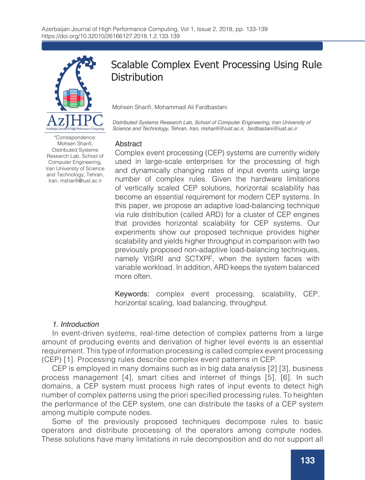

\*Correspondence: Mohsen Sharifi, Distributed Systems Research Lab, School of Computer Engineering, Iran University of Science and Technology, Tehran, Iran, msharifi@iust.ac.ir

# Scalable Complex Event Processing Using Rule **Distribution**

Mohsen Sharifi, Mohammad Ali Fardbastani

*Distributed Systems Research Lab, School of Computer Engineering, Iran University of*  Science and Technology, Tehran, Iran, msharifi@iust.ac.ir, fardbastani@iust.ac.ir

#### Abstract

Complex event processing (CEP) systems are currently widely used in large-scale enterprises for the processing of high and dynamically changing rates of input events using large number of complex rules. Given the hardware limitations of vertically scaled CEP solutions, horizontal scalability has become an essential requirement for modern CEP systems. In this paper, we propose an adaptive load-balancing technique via rule distribution (called ARD) for a cluster of CEP engines that provides horizontal scalability for CEP systems. Our experiments show our proposed technique provides higher scalability and yields higher throughput in comparison with two previously proposed non-adaptive load-balancing techniques, namely VISIRI and SCTXPF, when the system faces with variable workload. In addition, ARD keeps the system balanced more often.

Keywords: complex event processing, scalability, CEP, horizontal scaling, load balancing, throughput.

#### 1. Introduction

In event-driven systems, real-time detection of complex patterns from a large amount of producing events and derivation of higher level events is an essential requirement. This type of information processing is called complex event processing (CEP) [1]. Processing rules describe complex event patterns in CEP.

CEP is employed in many domains such as in big data analysis [2] [3], business process management [4], smart cities and internet of things [5], [6]. In such domains, a CEP system must process high rates of input events to detect high number of complex patterns using the priori specified processing rules. To heighten the performance of the CEP system, one can distribute the tasks of a CEP system among multiple compute nodes.

Some of the previously proposed techniques decompose rules to basic operators and distribute processing of the operators among compute nodes. These solutions have many limitations in rule decomposition and do not support all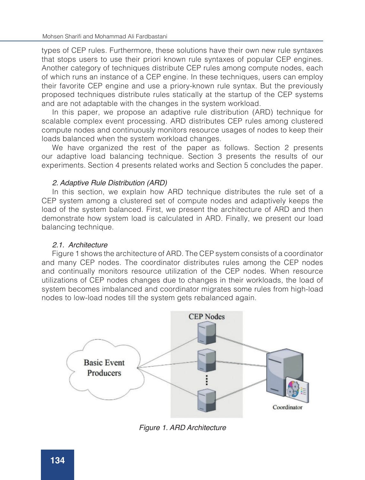types of CEP rules. Furthermore, these solutions have their own new rule syntaxes that stops users to use their priori known rule syntaxes of popular CEP engines. Another category of techniques distribute CEP rules among compute nodes, each of which runs an instance of a CEP engine. In these techniques, users can employ their favorite CEP engine and use a priory-known rule syntax. But the previously proposed techniques distribute rules statically at the startup of the CEP systems and are not adaptable with the changes in the system workload.

In this paper, we propose an adaptive rule distribution (ARD) technique for scalable complex event processing. ARD distributes CEP rules among clustered compute nodes and continuously monitors resource usages of nodes to keep their loads balanced when the system workload changes.

We have organized the rest of the paper as follows. Section 2 presents our adaptive load balancing technique. Section 3 presents the results of our experiments. Section 4 presents related works and Section 5 concludes the paper.

## 2. Adaptive Rule Distribution (ARD)

In this section, we explain how ARD technique distributes the rule set of a CEP system among a clustered set of compute nodes and adaptively keeps the load of the system balanced. First, we present the architecture of ARD and then demonstrate how system load is calculated in ARD. Finally, we present our load balancing technique.

#### 2.1. Architecture

Figure 1 shows the architecture of ARD. The CEP system consists of a coordinator and many CEP nodes. The coordinator distributes rules among the CEP nodes and continually monitors resource utilization of the CEP nodes. When resource utilizations of CEP nodes changes due to changes in their workloads, the load of system becomes imbalanced and coordinator migrates some rules from high-load nodes to low-load nodes till the system gets rebalanced again.



Figure 1. ARD Architecture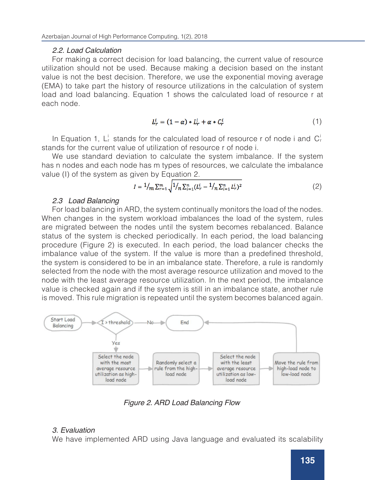## 2.2. Load Calculation

For making a correct decision for load balancing, the current value of resource utilization should not be used. Because making a decision based on the instant value is not the best decision. Therefore, we use the exponential moving average (EMA) to take part the history of resource utilizations in the calculation of system load and load balancing. Equation 1 shows the calculated load of resource r at each node.

$$
L_r^i = (1 - \alpha) * L_r^i + \alpha * C_r^i \tag{1}
$$

In Equation 1,  $L_r^i$  stands for the calculated load of resource r of node i and  $C_r^i$ stands for the current value of utilization of resource r of node i.

We use standard deviation to calculate the system imbalance. If the system has n nodes and each node has m types of resources, we calculate the imbalance value (I) of the system as given by Equation 2.

$$
I = \frac{1}{m} \sum_{r=1}^{m} \sqrt{\frac{1}{n} \sum_{i=1}^{n} (L_r^i - \frac{1}{n} \sum_{i=1}^{n} L_r^i)^2}
$$
 (2)

## 2.3 Load Balancing

For load balancing in ARD, the system continually monitors the load of the nodes. When changes in the system workload imbalances the load of the system, rules are migrated between the nodes until the system becomes rebalanced. Balance status of the system is checked periodically. In each period, the load balancing procedure (Figure 2) is executed. In each period, the load balancer checks the imbalance value of the system. If the value is more than a predefined threshold, the system is considered to be in an imbalance state. Therefore, a rule is randomly selected from the node with the most average resource utilization and moved to the node with the least average resource utilization. In the next period, the imbalance value is checked again and if the system is still in an imbalance state, another rule is moved. This rule migration is repeated until the system becomes balanced again.



Figure 2. ARD Load Balancing Flow

# 3. Evaluation

We have implemented ARD using Java language and evaluated its scalability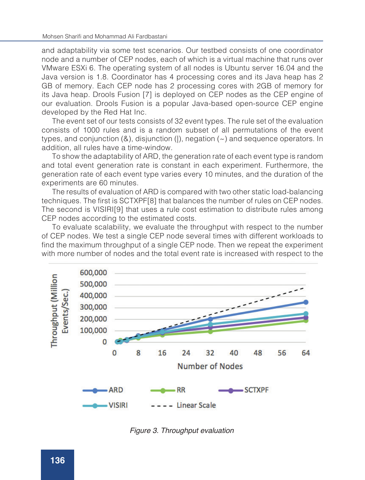and adaptability via some test scenarios. Our testbed consists of one coordinator node and a number of CEP nodes, each of which is a virtual machine that runs over VMware ESXi 6. The operating system of all nodes is Ubuntu server 16.04 and the Java version is 1.8. Coordinator has 4 processing cores and its Java heap has 2 GB of memory. Each CEP node has 2 processing cores with 2GB of memory for its Java heap. Drools Fusion [7] is deployed on CEP nodes as the CEP engine of our evaluation. Drools Fusion is a popular Java-based open-source CEP engine developed by the Red Hat Inc.

The event set of our tests consists of 32 event types. The rule set of the evaluation consists of 1000 rules and is a random subset of all permutations of the event types, and conjunction  $(8)$ , disjunction  $($ ], negation  $($   $\sim)$  and sequence operators. In addition, all rules have a time-window.

To show the adaptability of ARD, the generation rate of each event type is random and total event generation rate is constant in each experiment. Furthermore, the generation rate of each event type varies every 10 minutes, and the duration of the experiments are 60 minutes.

The results of evaluation of ARD is compared with two other static load-balancing techniques. The first is SCTXPF[8] that balances the number of rules on CEP nodes. The second is VISIRI[9] that uses a rule cost estimation to distribute rules among CEP nodes according to the estimated costs.

To evaluate scalability, we evaluate the throughput with respect to the number of CEP nodes. We test a single CEP node several times with different workloads to find the maximum throughput of a single CEP node. Then we repeat the experiment with more number of nodes and the total event rate is increased with respect to the



Figure 3. Throughput evaluation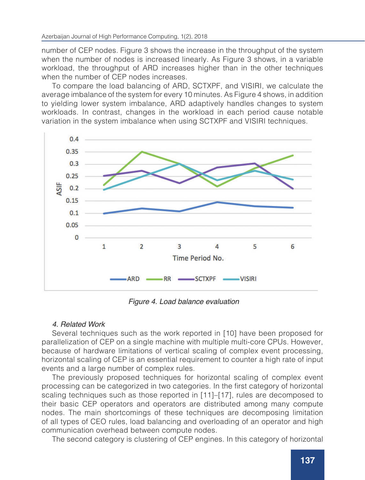number of CEP nodes. Figure 3 shows the increase in the throughput of the system when the number of nodes is increased linearly. As Figure 3 shows, in a variable workload, the throughput of ARD increases higher than in the other techniques when the number of CEP nodes increases.

To compare the load balancing of ARD, SCTXPF, and VISIRI, we calculate the average imbalance of the system for every 10 minutes. As Figure 4 shows, in addition to yielding lower system imbalance, ARD adaptively handles changes to system workloads. In contrast, changes in the workload in each period cause notable variation in the system imbalance when using SCTXPF and VISIRI techniques.



Figure 4. Load balance evaluation

# 4. Related Work

Several techniques such as the work reported in [10] have been proposed for parallelization of CEP on a single machine with multiple multi-core CPUs. However, because of hardware limitations of vertical scaling of complex event processing, horizontal scaling of CEP is an essential requirement to counter a high rate of input events and a large number of complex rules.

The previously proposed techniques for horizontal scaling of complex event processing can be categorized in two categories. In the first category of horizontal scaling techniques such as those reported in [11]–[17], rules are decomposed to their basic CEP operators and operators are distributed among many compute nodes. The main shortcomings of these techniques are decomposing limitation of all types of CEO rules, load balancing and overloading of an operator and high communication overhead between compute nodes.

The second category is clustering of CEP engines. In this category of horizontal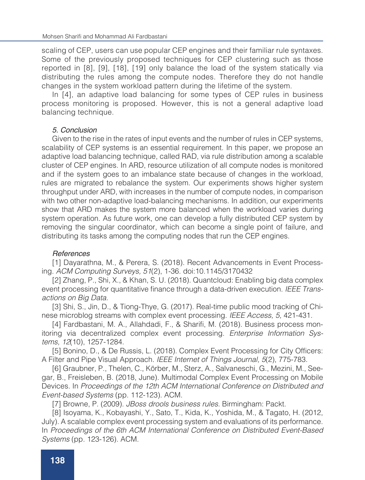scaling of CEP, users can use popular CEP engines and their familiar rule syntaxes. Some of the previously proposed techniques for CEP clustering such as those reported in [8], [9], [18], [19] only balance the load of the system statically via distributing the rules among the compute nodes. Therefore they do not handle changes in the system workload pattern during the lifetime of the system.

In [4], an adaptive load balancing for some types of CEP rules in business process monitoring is proposed. However, this is not a general adaptive load balancing technique.

## 5. Conclusion

Given to the rise in the rates of input events and the number of rules in CEP systems, scalability of CEP systems is an essential requirement. In this paper, we propose an adaptive load balancing technique, called RAD, via rule distribution among a scalable cluster of CEP engines. In ARD, resource utilization of all compute nodes is monitored and if the system goes to an imbalance state because of changes in the workload, rules are migrated to rebalance the system. Our experiments shows higher system throughput under ARD, with increases in the number of compute nodes, in comparison with two other non-adaptive load-balancing mechanisms. In addition, our experiments show that ARD makes the system more balanced when the workload varies during system operation. As future work, one can develop a fully distributed CEP system by removing the singular coordinator, which can become a single point of failure, and distributing its tasks among the computing nodes that run the CEP engines.

# *References*

[1] Dayarathna, M., & Perera, S. (2018). Recent Advancements in Event Processing. *ACM Computing Surveys, 51*(2), 1-36. doi:10.1145/3170432

[2] Zhang, P., Shi, X., & Khan, S. U. (2018). Quantcloud: Enabling big data complex event processing for quantitative finance through a data-driven execution. *IEEE Transactions on Big Data.*

[3] Shi, S., Jin, D., & Tiong-Thye, G. (2017). Real-time public mood tracking of Chinese microblog streams with complex event processing. *IEEE Access, 5,* 421-431.

[4] Fardbastani, M. A., Allahdadi, F., & Sharifi, M. (2018). Business process monitoring via decentralized complex event processing. *Enterprise Information Systems, 12*(10), 1257-1284.

[5] Bonino, D., & De Russis, L. (2018). Complex Event Processing for City Officers: A Filter and Pipe Visual Approach. *IEEE Internet of Things Journal, 5*(2), 775-783.

[6] Graubner, P., Thelen, C., Körber, M., Sterz, A., Salvaneschi, G., Mezini, M., Seegar, B., Freisleben, B. (2018, June). Multimodal Complex Event Processing on Mobile Devices. In *Proceedings of the 12th ACM International Conference on Distributed and Event-based Systems* (pp. 112-123). ACM.

[7] Browne, P. (2009). *JBoss drools business rules.* Birmingham: Packt.

[8] Isoyama, K., Kobayashi, Y., Sato, T., Kida, K., Yoshida, M., & Tagato, H. (2012, July). A scalable complex event processing system and evaluations of its performance. In *Proceedings of the 6th ACM International Conference on Distributed Event-Based Systems* (pp. 123-126). ACM.